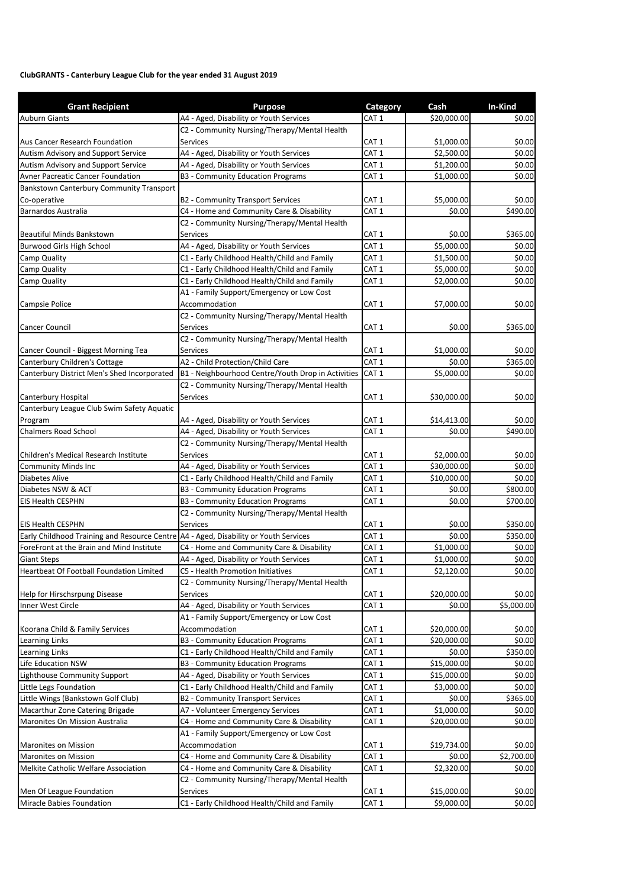## **ClubGRANTS ‐ Canterbury League Club for the year ended 31 August 2019**

| <b>Grant Recipient</b>                                                               | <b>Purpose</b>                                     | Category         | Cash        | In-Kind    |
|--------------------------------------------------------------------------------------|----------------------------------------------------|------------------|-------------|------------|
| <b>Auburn Giants</b>                                                                 | A4 - Aged, Disability or Youth Services            | CAT <sub>1</sub> | \$20,000.00 | \$0.00     |
|                                                                                      | C2 - Community Nursing/Therapy/Mental Health       |                  |             |            |
| Aus Cancer Research Foundation                                                       | Services                                           | CAT 1            | \$1,000.00  | \$0.00     |
| Autism Advisory and Support Service                                                  | A4 - Aged, Disability or Youth Services            | CAT <sub>1</sub> | \$2,500.00  | \$0.00     |
| Autism Advisory and Support Service                                                  | A4 - Aged, Disability or Youth Services            | CAT <sub>1</sub> | \$1,200.00  | \$0.00     |
| Avner Pacreatic Cancer Foundation                                                    | <b>B3 - Community Education Programs</b>           | CAT <sub>1</sub> | \$1,000.00  | \$0.00     |
| Bankstown Canterbury Community Transport                                             |                                                    |                  |             |            |
| Co-operative                                                                         | <b>B2 - Community Transport Services</b>           | CAT <sub>1</sub> | \$5,000.00  | \$0.00     |
| Barnardos Australia                                                                  | C4 - Home and Community Care & Disability          | CAT <sub>1</sub> | \$0.00      | \$490.00   |
|                                                                                      | C2 - Community Nursing/Therapy/Mental Health       |                  |             |            |
| Beautiful Minds Bankstown                                                            | <b>Services</b>                                    | CAT <sub>1</sub> | \$0.00      | \$365.00   |
| Burwood Girls High School                                                            | A4 - Aged, Disability or Youth Services            | CAT <sub>1</sub> | \$5,000.00  | \$0.00     |
| Camp Quality                                                                         | C1 - Early Childhood Health/Child and Family       | CAT <sub>1</sub> | \$1,500.00  | \$0.00     |
| Camp Quality                                                                         | C1 - Early Childhood Health/Child and Family       | CAT <sub>1</sub> | \$5,000.00  | \$0.00     |
| Camp Quality                                                                         | C1 - Early Childhood Health/Child and Family       | CAT <sub>1</sub> | \$2,000.00  | \$0.00     |
|                                                                                      | A1 - Family Support/Emergency or Low Cost          |                  |             |            |
| Campsie Police                                                                       | Accommodation                                      | CAT <sub>1</sub> | \$7,000.00  | \$0.00     |
|                                                                                      | C2 - Community Nursing/Therapy/Mental Health       |                  |             |            |
| Cancer Council                                                                       | <b>Services</b>                                    | CAT <sub>1</sub> | \$0.00      | \$365.00   |
|                                                                                      | C2 - Community Nursing/Therapy/Mental Health       |                  |             |            |
| Cancer Council - Biggest Morning Tea                                                 | Services                                           | CAT <sub>1</sub> | \$1,000.00  | \$0.00     |
| Canterbury Children's Cottage                                                        | A2 - Child Protection/Child Care                   | CAT <sub>1</sub> | \$0.00      | \$365.00   |
| Canterbury District Men's Shed Incorporated                                          | B1 - Neighbourhood Centre/Youth Drop in Activities | CAT <sub>1</sub> | \$5,000.00  | \$0.00     |
|                                                                                      | C2 - Community Nursing/Therapy/Mental Health       |                  |             |            |
| Canterbury Hospital                                                                  | <b>Services</b>                                    | CAT <sub>1</sub> | \$30,000.00 | \$0.00     |
| Canterbury League Club Swim Safety Aquatic                                           |                                                    |                  |             |            |
| Program                                                                              | A4 - Aged, Disability or Youth Services            | CAT <sub>1</sub> | \$14,413.00 | \$0.00     |
| <b>Chalmers Road School</b>                                                          | A4 - Aged, Disability or Youth Services            | CAT <sub>1</sub> | \$0.00      | \$490.00   |
|                                                                                      | C2 - Community Nursing/Therapy/Mental Health       |                  |             |            |
| Children's Medical Research Institute                                                | <b>Services</b>                                    | CAT <sub>1</sub> | \$2,000.00  | \$0.00     |
| <b>Community Minds Inc</b>                                                           | A4 - Aged, Disability or Youth Services            | CAT <sub>1</sub> | \$30,000.00 | \$0.00     |
| Diabetes Alive                                                                       | C1 - Early Childhood Health/Child and Family       | CAT <sub>1</sub> | \$10,000.00 | \$0.00     |
| Diabetes NSW & ACT                                                                   | <b>B3 - Community Education Programs</b>           | CAT <sub>1</sub> | \$0.00      | \$800.00   |
| <b>EIS Health CESPHN</b>                                                             | <b>B3 - Community Education Programs</b>           | CAT <sub>1</sub> | \$0.00      | \$700.00   |
|                                                                                      | C2 - Community Nursing/Therapy/Mental Health       |                  |             |            |
| <b>EIS Health CESPHN</b>                                                             | <b>Services</b>                                    | CAT <sub>1</sub> | \$0.00      | \$350.00   |
| Early Childhood Training and Resource Centre A4 - Aged, Disability or Youth Services |                                                    | CAT <sub>1</sub> | \$0.00      | \$350.00   |
| ForeFront at the Brain and Mind Institute                                            | C4 - Home and Community Care & Disability          | CAT <sub>1</sub> | \$1,000.00  | \$0.00     |
| <b>Giant Steps</b>                                                                   | A4 - Aged, Disability or Youth Services            | CAT <sub>1</sub> | \$1,000.00  | \$0.00     |
| Heartbeat Of Football Foundation Limited                                             | C5 - Health Promotion Initiatives                  | CAT <sub>1</sub> | \$2,120.00  | \$0.00     |
|                                                                                      | C2 - Community Nursing/Therapy/Mental Health       |                  |             |            |
| Help for Hirschsrpung Disease                                                        | Services                                           | CAT <sub>1</sub> | \$20,000.00 | \$0.00     |
| Inner West Circle                                                                    | A4 - Aged, Disability or Youth Services            | CAT <sub>1</sub> | \$0.00      | \$5,000.00 |
|                                                                                      | A1 - Family Support/Emergency or Low Cost          |                  |             |            |
| Koorana Child & Family Services                                                      | Accommodation                                      | CAT 1            | \$20,000.00 | \$0.00     |
| Learning Links                                                                       | B3 - Community Education Programs                  | CAT <sub>1</sub> | \$20,000.00 | \$0.00     |
| Learning Links                                                                       | C1 - Early Childhood Health/Child and Family       | CAT <sub>1</sub> | \$0.00      | \$350.00   |
| Life Education NSW                                                                   | <b>B3 - Community Education Programs</b>           | CAT <sub>1</sub> | \$15,000.00 | \$0.00     |
| Lighthouse Community Support                                                         | A4 - Aged, Disability or Youth Services            | CAT <sub>1</sub> | \$15,000.00 | \$0.00     |
| Little Legs Foundation                                                               | C1 - Early Childhood Health/Child and Family       | CAT 1            | \$3,000.00  | \$0.00     |
| Little Wings (Bankstown Golf Club)                                                   | <b>B2 - Community Transport Services</b>           | CAT <sub>1</sub> | \$0.00      | \$365.00   |
| Macarthur Zone Catering Brigade                                                      | A7 - Volunteer Emergency Services                  | CAT <sub>1</sub> | \$1,000.00  | \$0.00     |
| <b>Maronites On Mission Australia</b>                                                | C4 - Home and Community Care & Disability          | CAT <sub>1</sub> | \$20,000.00 | \$0.00     |
|                                                                                      | A1 - Family Support/Emergency or Low Cost          |                  |             |            |
| Maronites on Mission                                                                 | Accommodation                                      | CAT <sub>1</sub> | \$19,734.00 | \$0.00     |
| Maronites on Mission                                                                 | C4 - Home and Community Care & Disability          | CAT <sub>1</sub> | \$0.00      | \$2,700.00 |
| Melkite Catholic Welfare Association                                                 | C4 - Home and Community Care & Disability          | CAT 1            | \$2,320.00  | \$0.00     |
|                                                                                      | C2 - Community Nursing/Therapy/Mental Health       |                  |             |            |
| Men Of League Foundation                                                             | Services                                           | CAT 1            | \$15,000.00 | \$0.00     |
| Miracle Babies Foundation                                                            | C1 - Early Childhood Health/Child and Family       | CAT <sub>1</sub> | \$9,000.00  | \$0.00     |